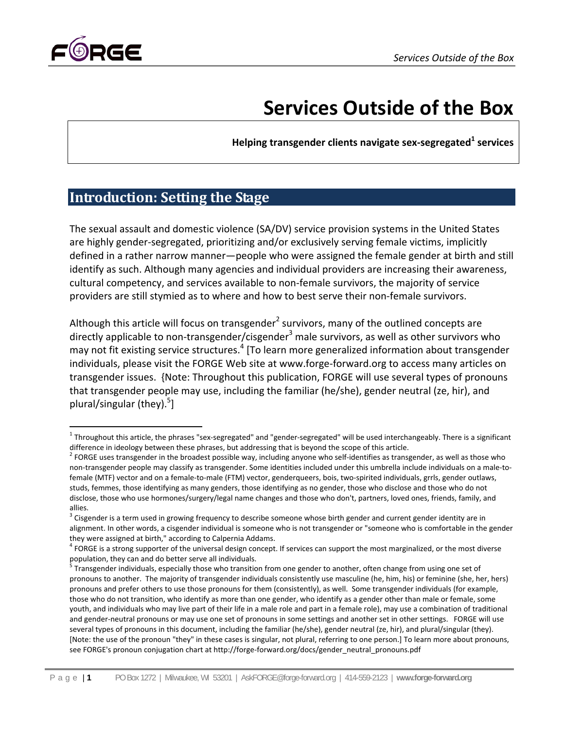

# **Services Outside of the Box**

**Helping transgender clients navigate sex‐segregated<sup>1</sup> services**

# **Introduction: Setting the Stage**

The sexual assault and domestic violence (SA/DV) service provision systems in the United States are highly gender‐segregated, prioritizing and/or exclusively serving female victims, implicitly defined in a rather narrow manner—people who were assigned the female gender at birth and still identify as such. Although many agencies and individual providers are increasing their awareness, cultural competency, and services available to non‐female survivors, the majority of service providers are still stymied as to where and how to best serve their non‐female survivors.

Although this article will focus on transgender<sup>2</sup> survivors, many of the outlined concepts are directly applicable to non-transgender/cisgender<sup>3</sup> male survivors, as well as other survivors who may not fit existing service structures.<sup>4</sup> [To learn more generalized information about transgender individuals, please visit the FORGE Web site at www.forge‐forward.org to access many articles on transgender issues. {Note: Throughout this publication, FORGE will use several types of pronouns that transgender people may use, including the familiar (he/she), gender neutral (ze, hir), and plural/singular (they).<sup>5</sup>]

  $1$ Throughout this article, the phrases "sex-segregated" and "gender-segregated" will be used interchangeably. There is a significant

difference in ideology between these phrases, but addressing that is beyond the scope of this article.<br><sup>2</sup> FORGE uses transgender in the broadest possible way, including anyone who self-identifies as transgender, as well a non-transgender people may classify as transgender. Some identities included under this umbrella include individuals on a male-tofemale (MTF) vector and on a female-to-male (FTM) vector, genderqueers, bois, two-spirited individuals, grrls, gender outlaws, studs, femmes, those identifying as many genders, those identifying as no gender, those who disclose and those who do not disclose, those who use hormones/surgery/legal name changes and those who don't, partners, loved ones, friends, family, and allies.

 $3$  Cisgender is a term used in growing frequency to describe someone whose birth gender and current gender identity are in alignment. In other words, a cisgender individual is someone who is not transgender or "someone who is comfortable in the gender

they were assigned at birth," according to Calpernia Addams.<br><sup>4</sup> FORGE is a strong supporter of the universal design concept. If services can support the most marginalized, or the most diverse population, they can and do better serve all individuals.<br><sup>5</sup> Transgender individuals, especially those who transition from one gender to another, often change from using one set of

pronouns to another. The majority of transgender individuals consistently use masculine (he, him, his) or feminine (she, her, hers) pronouns and prefer others to use those pronouns for them (consistently), as well. Some transgender individuals (for example, those who do not transition, who identify as more than one gender, who identify as a gender other than male or female, some youth, and individuals who may live part of their life in a male role and part in a female role), may use a combination of traditional and gender‐neutral pronouns or may use one set of pronouns in some settings and another set in other settings. FORGE will use several types of pronouns in this document, including the familiar (he/she), gender neutral (ze, hir), and plural/singular (they). [Note: the use of the pronoun "they" in these cases is singular, not plural, referring to one person.] To learn more about pronouns, see FORGE's pronoun conjugation chart at http://forge-forward.org/docs/gender\_neutral\_pronouns.pdf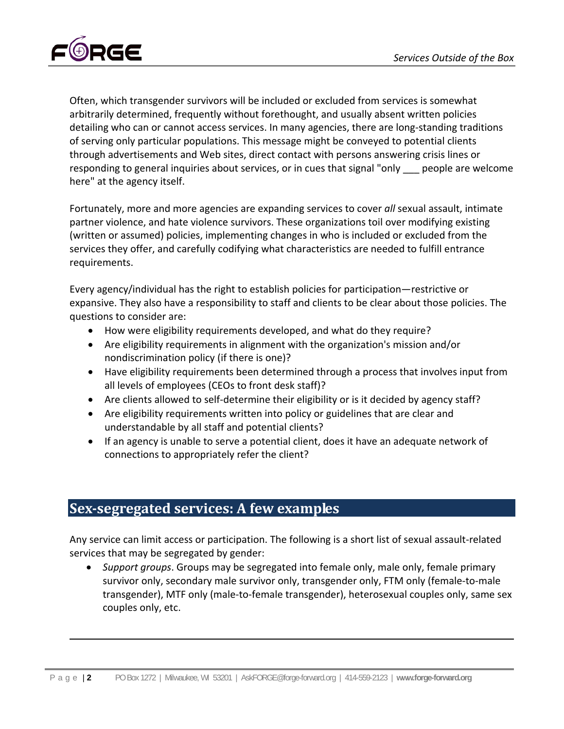

Often, which transgender survivors will be included or excluded from services is somewhat arbitrarily determined, frequently without forethought, and usually absent written policies detailing who can or cannot access services. In many agencies, there are long-standing traditions of serving only particular populations. This message might be conveyed to potential clients through advertisements and Web sites, direct contact with persons answering crisis lines or responding to general inquiries about services, or in cues that signal "only \_\_\_ people are welcome here" at the agency itself.

Fortunately, more and more agencies are expanding services to cover *all* sexual assault, intimate partner violence, and hate violence survivors. These organizations toil over modifying existing (written or assumed) policies, implementing changes in who is included or excluded from the services they offer, and carefully codifying what characteristics are needed to fulfill entrance requirements.

Every agency/individual has the right to establish policies for participation—restrictive or expansive. They also have a responsibility to staff and clients to be clear about those policies. The questions to consider are:

- How were eligibility requirements developed, and what do they require?
- Are eligibility requirements in alignment with the organization's mission and/or nondiscrimination policy (if there is one)?
- Have eligibility requirements been determined through a process that involves input from all levels of employees (CEOs to front desk staff)?
- Are clients allowed to self-determine their eligibility or is it decided by agency staff?
- Are eligibility requirements written into policy or guidelines that are clear and understandable by all staff and potential clients?
- If an agency is unable to serve a potential client, does it have an adequate network of connections to appropriately refer the client?

## **Sexsegregated services: A few examples**

Any service can limit access or participation. The following is a short list of sexual assault‐related services that may be segregated by gender:

 *Support groups*. Groups may be segregated into female only, male only, female primary survivor only, secondary male survivor only, transgender only, FTM only (female-to-male transgender), MTF only (male‐to‐female transgender), heterosexual couples only, same sex couples only, etc.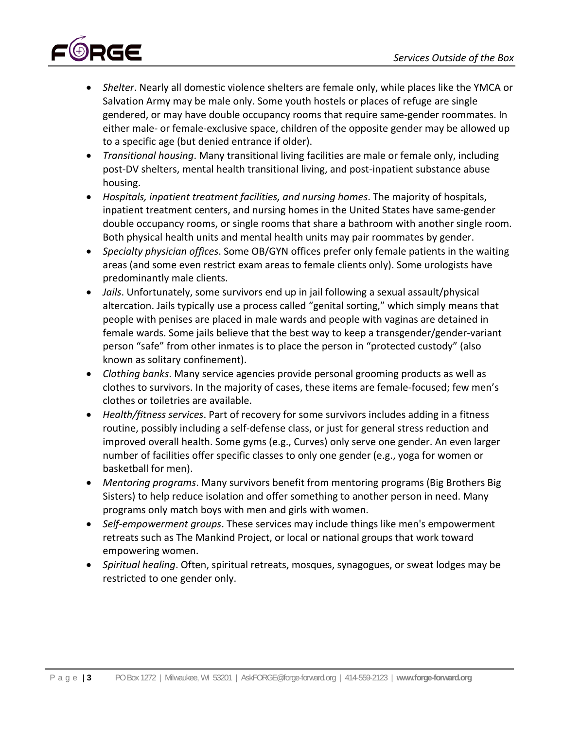

- *Shelter*. Nearly all domestic violence shelters are female only, while places like the YMCA or Salvation Army may be male only. Some youth hostels or places of refuge are single gendered, or may have double occupancy rooms that require same‐gender roommates. In either male‐ or female‐exclusive space, children of the opposite gender may be allowed up to a specific age (but denied entrance if older).
- *Transitional housing*. Many transitional living facilities are male or female only, including post-DV shelters, mental health transitional living, and post-inpatient substance abuse housing.
- *Hospitals, inpatient treatment facilities, and nursing homes*. The majority of hospitals, inpatient treatment centers, and nursing homes in the United States have same‐gender double occupancy rooms, or single rooms that share a bathroom with another single room. Both physical health units and mental health units may pair roommates by gender.
- *Specialty physician offices*. Some OB/GYN offices prefer only female patients in the waiting areas (and some even restrict exam areas to female clients only). Some urologists have predominantly male clients.
- *Jails*. Unfortunately, some survivors end up in jail following a sexual assault/physical altercation. Jails typically use a process called "genital sorting," which simply means that people with penises are placed in male wards and people with vaginas are detained in female wards. Some jails believe that the best way to keep a transgender/gender‐variant person "safe" from other inmates is to place the person in "protected custody" (also known as solitary confinement).
- *Clothing banks*. Many service agencies provide personal grooming products as well as clothes to survivors. In the majority of cases, these items are female‐focused; few men's clothes or toiletries are available.
- *Health/fitness services*. Part of recovery for some survivors includes adding in a fitness routine, possibly including a self‐defense class, or just for general stress reduction and improved overall health. Some gyms (e.g., Curves) only serve one gender. An even larger number of facilities offer specific classes to only one gender (e.g., yoga for women or basketball for men).
- *Mentoring programs*. Many survivors benefit from mentoring programs (Big Brothers Big Sisters) to help reduce isolation and offer something to another person in need. Many programs only match boys with men and girls with women.
- *Self‐empowerment groups*. These services may include things like men's empowerment retreats such as The Mankind Project, or local or national groups that work toward empowering women.
- *Spiritual healing*. Often, spiritual retreats, mosques, synagogues, or sweat lodges may be restricted to one gender only.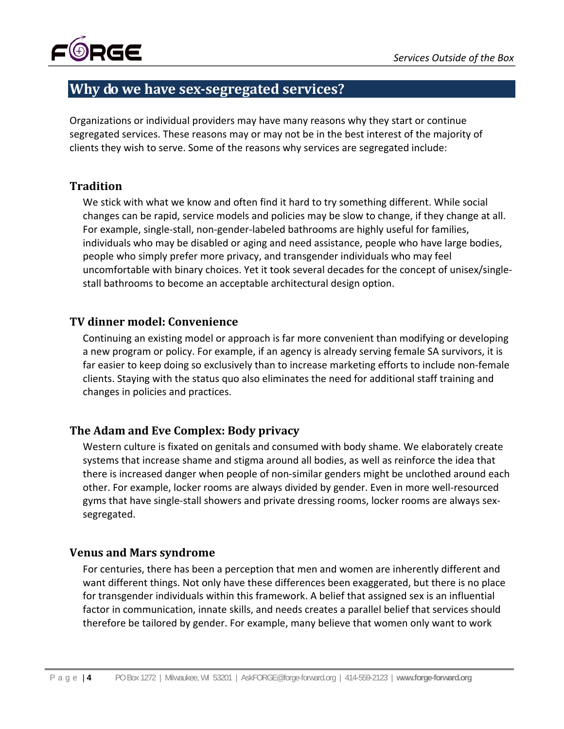

# **Why do we have sexsegregated services?**

Organizations or individual providers may have many reasons why they start or continue segregated services. These reasons may or may not be in the best interest of the majority of clients they wish to serve. Some of the reasons why services are segregated include:

## **Tradition**

We stick with what we know and often find it hard to try something different. While social changes can be rapid, service models and policies may be slow to change, if they change at all. For example, single‐stall, non‐gender‐labeled bathrooms are highly useful for families, individuals who may be disabled or aging and need assistance, people who have large bodies, people who simply prefer more privacy, and transgender individuals who may feel uncomfortable with binary choices. Yet it took several decades for the concept of unisex/single‐ stall bathrooms to become an acceptable architectural design option.

## **TV dinner model: Convenience**

Continuing an existing model or approach is far more convenient than modifying or developing a new program or policy. For example, if an agency is already serving female SA survivors, it is far easier to keep doing so exclusively than to increase marketing efforts to include non‐female clients. Staying with the status quo also eliminates the need for additional staff training and changes in policies and practices.

## **The Adam and Eve Complex: Body privacy**

Western culture is fixated on genitals and consumed with body shame. We elaborately create systems that increase shame and stigma around all bodies, as well as reinforce the idea that there is increased danger when people of non‐similar genders might be unclothed around each other. For example, locker rooms are always divided by gender. Even in more well‐resourced gyms that have single‐stall showers and private dressing rooms, locker rooms are always sex‐ segregated.

## **Venus and Mars syndrome**

For centuries, there has been a perception that men and women are inherently different and want different things. Not only have these differences been exaggerated, but there is no place for transgender individuals within this framework. A belief that assigned sex is an influential factor in communication, innate skills, and needs creates a parallel belief that services should therefore be tailored by gender. For example, many believe that women only want to work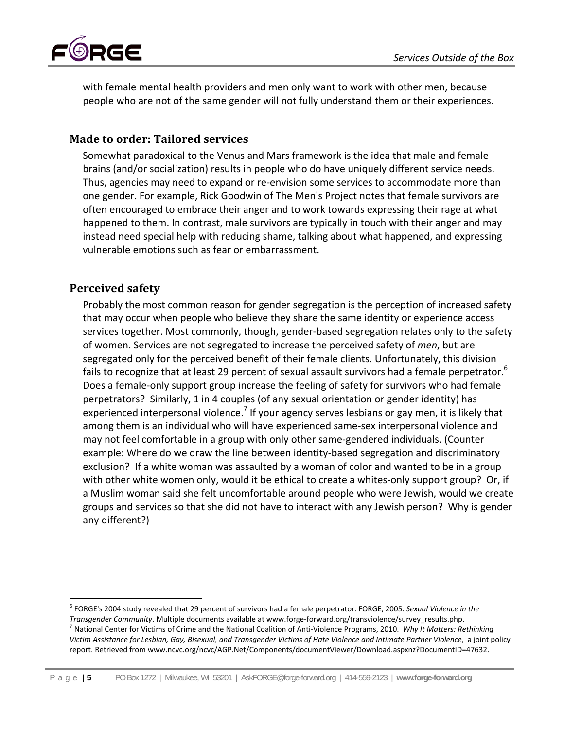

with female mental health providers and men only want to work with other men, because people who are not of the same gender will not fully understand them or their experiences.

## **Made to order: Tailored services**

Somewhat paradoxical to the Venus and Mars framework is the idea that male and female brains (and/or socialization) results in people who do have uniquely different service needs. Thus, agencies may need to expand or re‐envision some services to accommodate more than one gender. For example, Rick Goodwin of The Men's Project notes that female survivors are often encouraged to embrace their anger and to work towards expressing their rage at what happened to them. In contrast, male survivors are typically in touch with their anger and may instead need special help with reducing shame, talking about what happened, and expressing vulnerable emotions such as fear or embarrassment.

## **Perceived safety**

Probably the most common reason for gender segregation is the perception of increased safety that may occur when people who believe they share the same identity or experience access services together. Most commonly, though, gender-based segregation relates only to the safety of women. Services are not segregated to increase the perceived safety of *men*, but are segregated only for the perceived benefit of their female clients. Unfortunately, this division fails to recognize that at least 29 percent of sexual assault survivors had a female perpetrator.<sup>6</sup> Does a female‐only support group increase the feeling of safety for survivors who had female perpetrators? Similarly, 1 in 4 couples (of any sexual orientation or gender identity) has experienced interpersonal violence.<sup>7</sup> If your agency serves lesbians or gay men, it is likely that among them is an individual who will have experienced same‐sex interpersonal violence and may not feel comfortable in a group with only other same‐gendered individuals. (Counter example: Where do we draw the line between identity‐based segregation and discriminatory exclusion? If a white woman was assaulted by a woman of color and wanted to be in a group with other white women only, would it be ethical to create a whites-only support group? Or, if a Muslim woman said she felt uncomfortable around people who were Jewish, would we create groups and services so that she did not have to interact with any Jewish person? Why is gender any different?)

 <sup>6</sup> FORGE's 2004 study revealed that 29 percent of survivors had a female perpetrator. FORGE, 2005. *Sexual Violence in the* Transgender Community. Multiple documents available at www.forge-forward.org/transviolence/survey\_results.php.<br><sup>7</sup> National Center for Victims of Crime and the National Coalition of Anti-Violence Programs, 2010. *Why It Ma* Victim Assistance for Lesbian, Gay, Bisexual, and Transgender Victims of Hate Violence and Intimate Partner Violence, a joint policy report. Retrieved from www.ncvc.org/ncvc/AGP.Net/Components/documentViewer/Download.aspxnz?DocumentID=47632.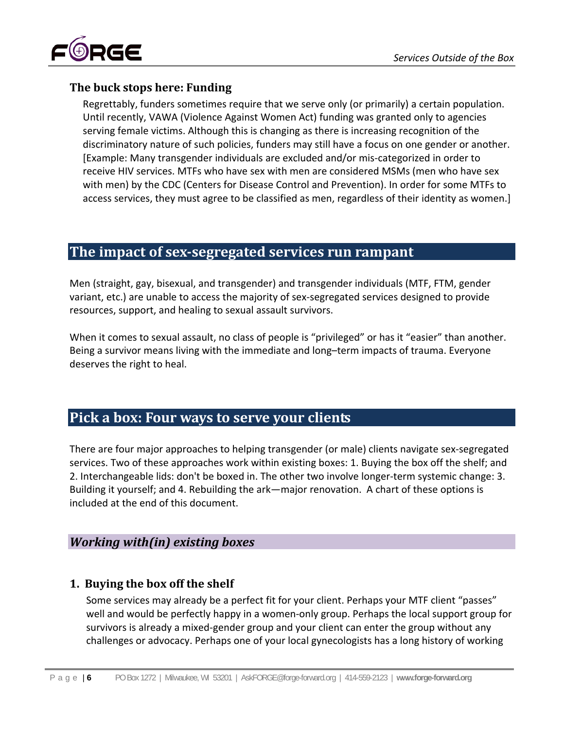

## **The buck stops here: Funding**

Regrettably, funders sometimes require that we serve only (or primarily) a certain population. Until recently, VAWA (Violence Against Women Act) funding was granted only to agencies serving female victims. Although this is changing as there is increasing recognition of the discriminatory nature of such policies, funders may still have a focus on one gender or another. [Example: Many transgender individuals are excluded and/or mis‐categorized in order to receive HIV services. MTFs who have sex with men are considered MSMs (men who have sex with men) by the CDC (Centers for Disease Control and Prevention). In order for some MTFs to access services, they must agree to be classified as men, regardless of their identity as women.]

## **The impact of sexsegregated services run rampant**

Men (straight, gay, bisexual, and transgender) and transgender individuals (MTF, FTM, gender variant, etc.) are unable to access the majority of sex‐segregated services designed to provide resources, support, and healing to sexual assault survivors.

When it comes to sexual assault, no class of people is "privileged" or has it "easier" than another. Being a survivor means living with the immediate and long–term impacts of trauma. Everyone deserves the right to heal.

# **Pick a box: Four ways to serve your clients**

There are four major approaches to helping transgender (or male) clients navigate sex‐segregated services. Two of these approaches work within existing boxes: 1. Buying the box off the shelf; and 2. Interchangeable lids: don't be boxed in. The other two involve longer‐term systemic change: 3. Building it yourself; and 4. Rebuilding the ark—major renovation. A chart of these options is included at the end of this document.

## *Working with(in) existing boxes*

## **1. Buying the box off the shelf**

Some services may already be a perfect fit for your client. Perhaps your MTF client "passes" well and would be perfectly happy in a women-only group. Perhaps the local support group for survivors is already a mixed-gender group and your client can enter the group without any challenges or advocacy. Perhaps one of your local gynecologists has a long history of working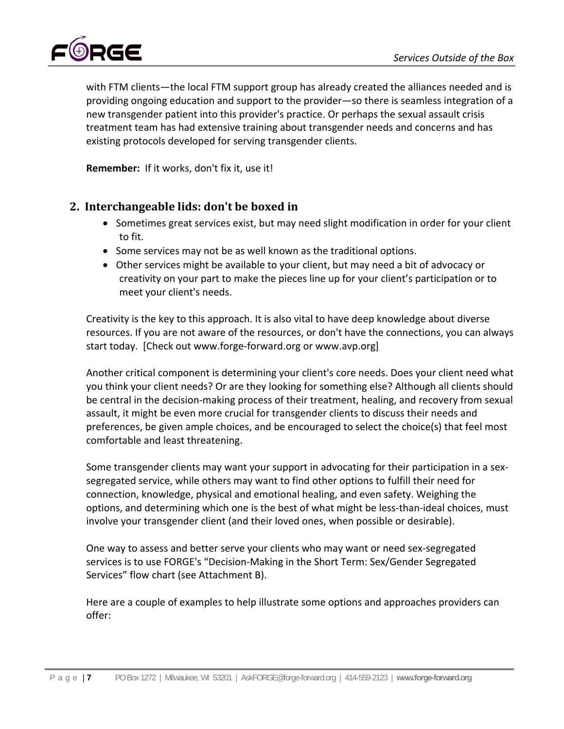

with FTM clients—the local FTM support group has already created the alliances needed and is providing ongoing education and support to the provider—so there is seamless integration of a new transgender patient into this provider's practice. Or perhaps the sexual assault crisis treatment team has had extensive training about transgender needs and concerns and has existing protocols developed for serving transgender clients.

**Remember:** If it works, don't fix it, use it!

## **2. Interchangeable lids: don't be boxed in**

- Sometimes great services exist, but may need slight modification in order for your client to fit.
- Some services may not be as well known as the traditional options.
- Other services might be available to your client, but may need a bit of advocacy or creativity on your part to make the pieces line up for your client's participation or to meet your client's needs.

Creativity is the key to this approach. It is also vital to have deep knowledge about diverse resources. If you are not aware of the resources, or don't have the connections, you can always start today. [Check out www.forge-forward.org or www.avp.org]

Another critical component is determining your client's core needs. Does your client need what you think your client needs? Or are they looking for something else? Although all clients should be central in the decision-making process of their treatment, healing, and recovery from sexual assault, it might be even more crucial for transgender clients to discuss their needs and preferences, be given ample choices, and be encouraged to select the choice(s) that feel most comfortable and least threatening.

Some transgender clients may want your support in advocating for their participation in a sex‐ segregated service, while others may want to find other options to fulfill their need for connection, knowledge, physical and emotional healing, and even safety. Weighing the options, and determining which one is the best of what might be less‐than‐ideal choices, must involve your transgender client (and their loved ones, when possible or desirable).

One way to assess and better serve your clients who may want or need sex‐segregated services is to use FORGE's "Decision‐Making in the Short Term: Sex/Gender Segregated Services" flow chart (see Attachment B).

Here are a couple of examples to help illustrate some options and approaches providers can offer: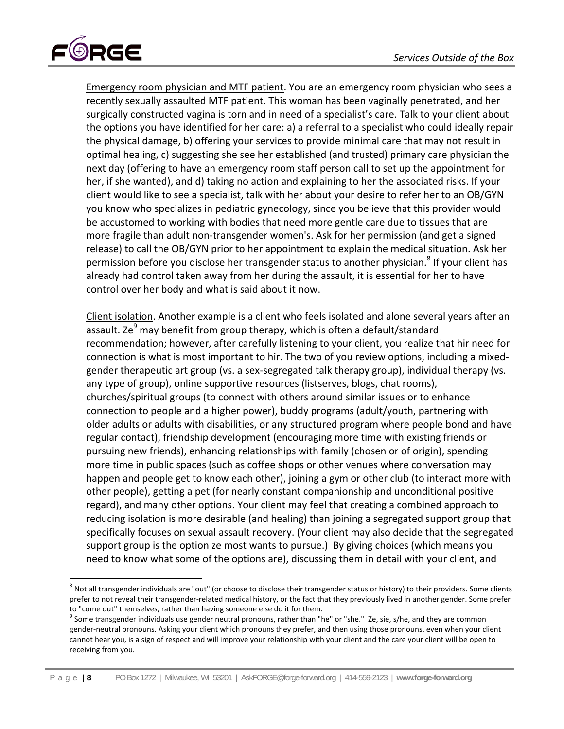

Emergency room physician and MTF patient. You are an emergency room physician who sees a recently sexually assaulted MTF patient. This woman has been vaginally penetrated, and her surgically constructed vagina is torn and in need of a specialist's care. Talk to your client about the options you have identified for her care: a) a referral to a specialist who could ideally repair the physical damage, b) offering your services to provide minimal care that may not result in optimal healing, c) suggesting she see her established (and trusted) primary care physician the next day (offering to have an emergency room staff person call to set up the appointment for her, if she wanted), and d) taking no action and explaining to her the associated risks. If your client would like to see a specialist, talk with her about your desire to refer her to an OB/GYN you know who specializes in pediatric gynecology, since you believe that this provider would be accustomed to working with bodies that need more gentle care due to tissues that are more fragile than adult non‐transgender women's. Ask for her permission (and get a signed release) to call the OB/GYN prior to her appointment to explain the medical situation. Ask her permission before you disclose her transgender status to another physician.<sup>8</sup> If your client has already had control taken away from her during the assault, it is essential for her to have control over her body and what is said about it now.

Client isolation. Another example is a client who feels isolated and alone several years after an assault. Ze<sup>9</sup> may benefit from group therapy, which is often a default/standard recommendation; however, after carefully listening to your client, you realize that hir need for connection is what is most important to hir. The two of you review options, including a mixed‐ gender therapeutic art group (vs. a sex‐segregated talk therapy group), individual therapy (vs. any type of group), online supportive resources (listserves, blogs, chat rooms), churches/spiritual groups (to connect with others around similar issues or to enhance connection to people and a higher power), buddy programs (adult/youth, partnering with older adults or adults with disabilities, or any structured program where people bond and have regular contact), friendship development (encouraging more time with existing friends or pursuing new friends), enhancing relationships with family (chosen or of origin), spending more time in public spaces (such as coffee shops or other venues where conversation may happen and people get to know each other), joining a gym or other club (to interact more with other people), getting a pet (for nearly constant companionship and unconditional positive regard), and many other options. Your client may feel that creating a combined approach to reducing isolation is more desirable (and healing) than joining a segregated support group that specifically focuses on sexual assault recovery. (Your client may also decide that the segregated support group is the option ze most wants to pursue.) By giving choices (which means you need to know what some of the options are), discussing them in detail with your client, and

<sup>&</sup>lt;sup>8</sup> Not all transgender individuals are "out" (or choose to disclose their transgender status or history) to their providers. Some clients prefer to not reveal their transgender‐related medical history, or the fact that they previously lived in another gender. Some prefer to "come out" themselves, rather than having someone else do it for them.<br><sup>9</sup> Some transgender individuals use gender neutral pronouns, rather than "he" or "she." Ze, sie, s/he, and they are common

gender‐neutral pronouns. Asking your client which pronouns they prefer, and then using those pronouns, even when your client cannot hear you, is a sign of respect and will improve your relationship with your client and the care your client will be open to receiving from you.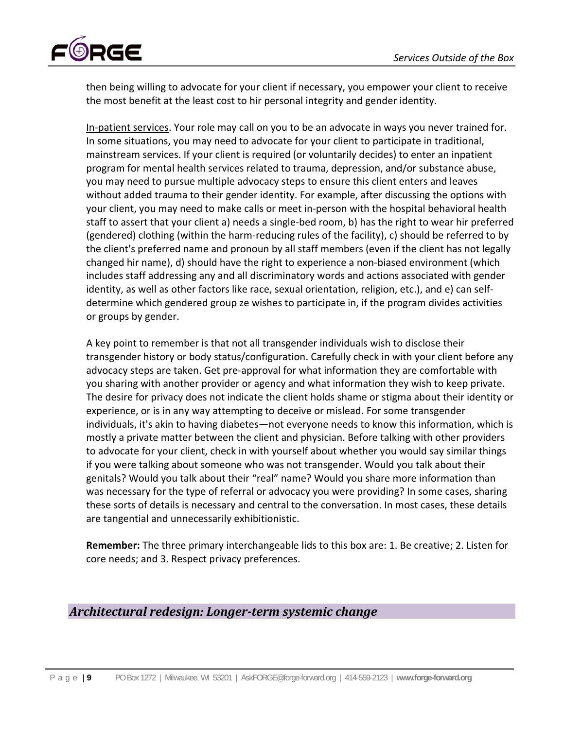

then being willing to advocate for your client if necessary, you empower your client to receive the most benefit at the least cost to hir personal integrity and gender identity.

In-patient services. Your role may call on you to be an advocate in ways you never trained for. In some situations, you may need to advocate for your client to participate in traditional, mainstream services. If your client is required (or voluntarily decides) to enter an inpatient program for mental health services related to trauma, depression, and/or substance abuse, you may need to pursue multiple advocacy steps to ensure this client enters and leaves without added trauma to their gender identity. For example, after discussing the options with your client, you may need to make calls or meet in‐person with the hospital behavioral health staff to assert that your client a) needs a single‐bed room, b) has the right to wear hir preferred (gendered) clothing (within the harm‐reducing rules of the facility), c) should be referred to by the client's preferred name and pronoun by all staff members (even if the client has not legally changed hir name), d) should have the right to experience a non‐biased environment (which includes staff addressing any and all discriminatory words and actions associated with gender identity, as well as other factors like race, sexual orientation, religion, etc.), and e) can self‐ determine which gendered group ze wishes to participate in, if the program divides activities or groups by gender.

A key point to remember is that not all transgender individuals wish to disclose their transgender history or body status/configuration. Carefully check in with your client before any advocacy steps are taken. Get pre‐approval for what information they are comfortable with you sharing with another provider or agency and what information they wish to keep private. The desire for privacy does not indicate the client holds shame or stigma about their identity or experience, or is in any way attempting to deceive or mislead. For some transgender individuals, it's akin to having diabetes—not everyone needs to know this information, which is mostly a private matter between the client and physician. Before talking with other providers to advocate for your client, check in with yourself about whether you would say similar things if you were talking about someone who was not transgender. Would you talk about their genitals? Would you talk about their "real" name? Would you share more information than was necessary for the type of referral or advocacy you were providing? In some cases, sharing these sorts of details is necessary and central to the conversation. In most cases, these details are tangential and unnecessarily exhibitionistic.

**Remember:** The three primary interchangeable lids to this box are: 1. Be creative; 2. Listen for core needs; and 3. Respect privacy preferences.

## *Architectural redesign: Longerterm systemic change*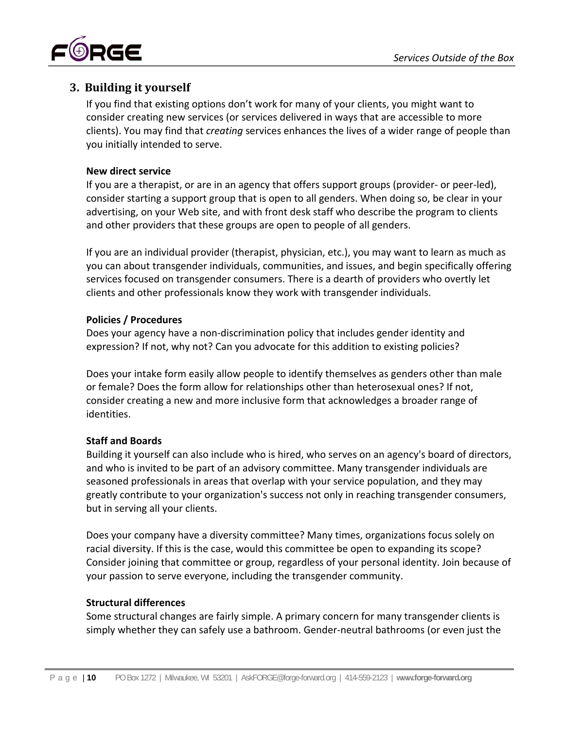

## **3. Building it yourself**

If you find that existing options don't work for many of your clients, you might want to consider creating new services (or services delivered in ways that are accessible to more clients). You may find that *creating* services enhances the lives of a wider range of people than you initially intended to serve.

#### **New direct service**

If you are a therapist, or are in an agency that offers support groups (provider‐ or peer‐led), consider starting a support group that is open to all genders. When doing so, be clear in your advertising, on your Web site, and with front desk staff who describe the program to clients and other providers that these groups are open to people of all genders.

If you are an individual provider (therapist, physician, etc.), you may want to learn as much as you can about transgender individuals, communities, and issues, and begin specifically offering services focused on transgender consumers. There is a dearth of providers who overtly let clients and other professionals know they work with transgender individuals.

#### **Policies / Procedures**

Does your agency have a non‐discrimination policy that includes gender identity and expression? If not, why not? Can you advocate for this addition to existing policies?

Does your intake form easily allow people to identify themselves as genders other than male or female? Does the form allow for relationships other than heterosexual ones? If not, consider creating a new and more inclusive form that acknowledges a broader range of identities.

## **Staff and Boards**

Building it yourself can also include who is hired, who serves on an agency's board of directors, and who is invited to be part of an advisory committee. Many transgender individuals are seasoned professionals in areas that overlap with your service population, and they may greatly contribute to your organization's success not only in reaching transgender consumers, but in serving all your clients.

Does your company have a diversity committee? Many times, organizations focus solely on racial diversity. If this is the case, would this committee be open to expanding its scope? Consider joining that committee or group, regardless of your personal identity. Join because of your passion to serve everyone, including the transgender community.

## **Structural differences**

Some structural changes are fairly simple. A primary concern for many transgender clients is simply whether they can safely use a bathroom. Gender‐neutral bathrooms (or even just the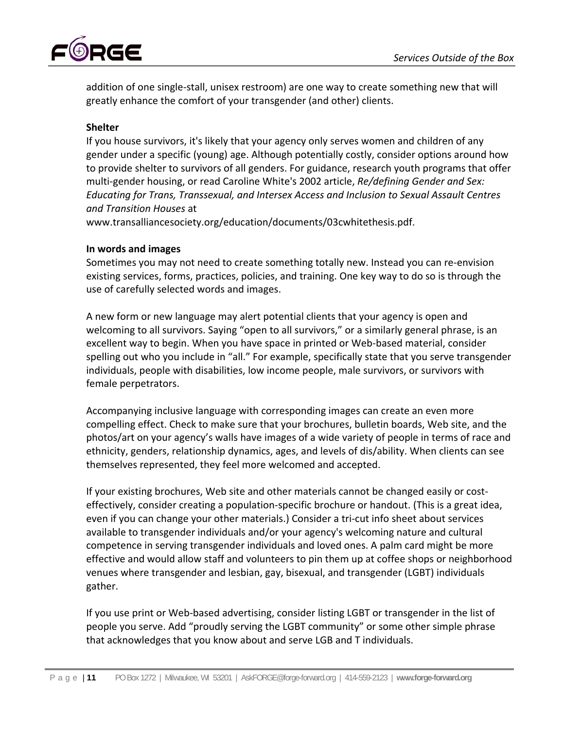

addition of one single‐stall, unisex restroom) are one way to create something new that will greatly enhance the comfort of your transgender (and other) clients.

#### **Shelter**

If you house survivors, it's likely that your agency only serves women and children of any gender under a specific (young) age. Although potentially costly, consider options around how to provide shelter to survivors of all genders. For guidance, research youth programs that offer multi‐gender housing, or read Caroline White's 2002 article, *Re/defining Gender and Sex: Educating for Trans, Transsexual, and Intersex Access and Inclusion to Sexual Assault Centres and Transition Houses* at

www.transalliancesociety.org/education/documents/03cwhitethesis.pdf.

#### **In words and images**

Sometimes you may not need to create something totally new. Instead you can re‐envision existing services, forms, practices, policies, and training. One key way to do so is through the use of carefully selected words and images.

A new form or new language may alert potential clients that your agency is open and welcoming to all survivors. Saying "open to all survivors," or a similarly general phrase, is an excellent way to begin. When you have space in printed or Web‐based material, consider spelling out who you include in "all." For example, specifically state that you serve transgender individuals, people with disabilities, low income people, male survivors, or survivors with female perpetrators.

Accompanying inclusive language with corresponding images can create an even more compelling effect. Check to make sure that your brochures, bulletin boards, Web site, and the photos/art on your agency's walls have images of a wide variety of people in terms of race and ethnicity, genders, relationship dynamics, ages, and levels of dis/ability. When clients can see themselves represented, they feel more welcomed and accepted.

If your existing brochures, Web site and other materials cannot be changed easily or cost‐ effectively, consider creating a population‐specific brochure or handout. (This is a great idea, even if you can change your other materials.) Consider a tri‐cut info sheet about services available to transgender individuals and/or your agency's welcoming nature and cultural competence in serving transgender individuals and loved ones. A palm card might be more effective and would allow staff and volunteers to pin them up at coffee shops or neighborhood venues where transgender and lesbian, gay, bisexual, and transgender (LGBT) individuals gather.

If you use print or Web‐based advertising, consider listing LGBT or transgender in the list of people you serve. Add "proudly serving the LGBT community" or some other simple phrase that acknowledges that you know about and serve LGB and T individuals.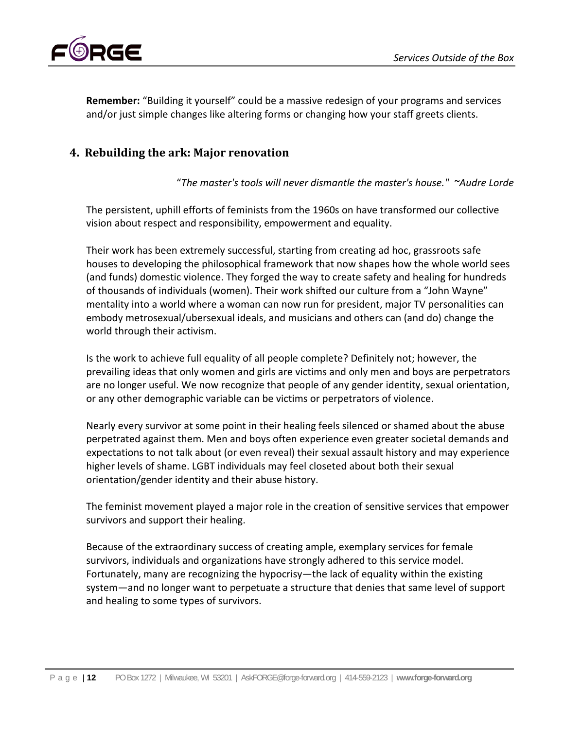

**Remember:** "Building it yourself" could be a massive redesign of your programs and services and/or just simple changes like altering forms or changing how your staff greets clients.

## **4. Rebuilding the ark: Major renovation**

"*The master's tools will never dismantle the master's house." ~Audre Lorde*

The persistent, uphill efforts of feminists from the 1960s on have transformed our collective vision about respect and responsibility, empowerment and equality.

Their work has been extremely successful, starting from creating ad hoc, grassroots safe houses to developing the philosophical framework that now shapes how the whole world sees (and funds) domestic violence. They forged the way to create safety and healing for hundreds of thousands of individuals (women). Their work shifted our culture from a "John Wayne" mentality into a world where a woman can now run for president, major TV personalities can embody metrosexual/ubersexual ideals, and musicians and others can (and do) change the world through their activism.

Is the work to achieve full equality of all people complete? Definitely not; however, the prevailing ideas that only women and girls are victims and only men and boys are perpetrators are no longer useful. We now recognize that people of any gender identity, sexual orientation, or any other demographic variable can be victims or perpetrators of violence.

Nearly every survivor at some point in their healing feels silenced or shamed about the abuse perpetrated against them. Men and boys often experience even greater societal demands and expectations to not talk about (or even reveal) their sexual assault history and may experience higher levels of shame. LGBT individuals may feel closeted about both their sexual orientation/gender identity and their abuse history.

The feminist movement played a major role in the creation of sensitive services that empower survivors and support their healing.

Because of the extraordinary success of creating ample, exemplary services for female survivors, individuals and organizations have strongly adhered to this service model. Fortunately, many are recognizing the hypocrisy—the lack of equality within the existing system—and no longer want to perpetuate a structure that denies that same level of support and healing to some types of survivors.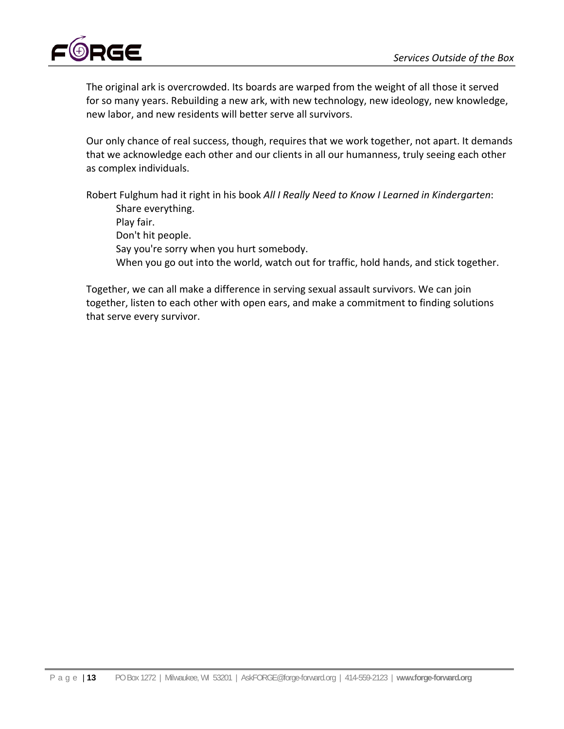

The original ark is overcrowded. Its boards are warped from the weight of all those it served for so many years. Rebuilding a new ark, with new technology, new ideology, new knowledge, new labor, and new residents will better serve all survivors.

Our only chance of real success, though, requires that we work together, not apart. It demands that we acknowledge each other and our clients in all our humanness, truly seeing each other as complex individuals.

Robert Fulghum had it right in his book *All I Really Need to Know I Learned in Kindergarten*: Share everything. Play fair. Don't hit people. Say you're sorry when you hurt somebody. When you go out into the world, watch out for traffic, hold hands, and stick together.

Together, we can all make a difference in serving sexual assault survivors. We can join together, listen to each other with open ears, and make a commitment to finding solutions that serve every survivor.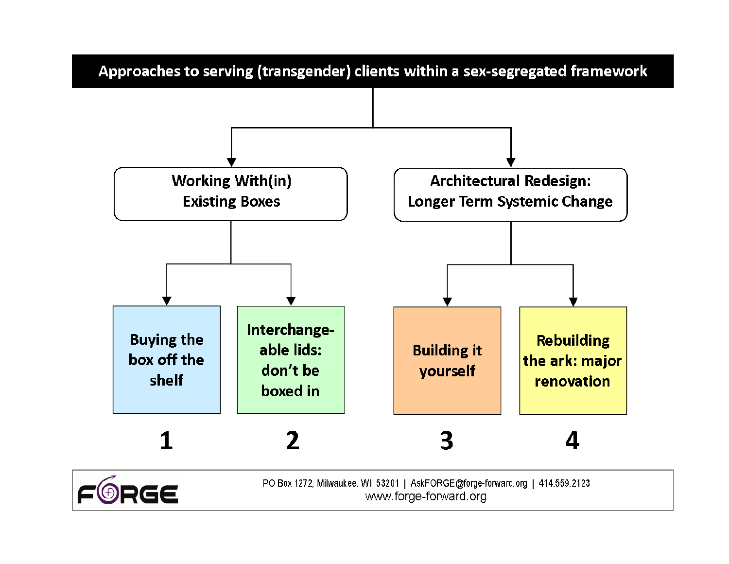